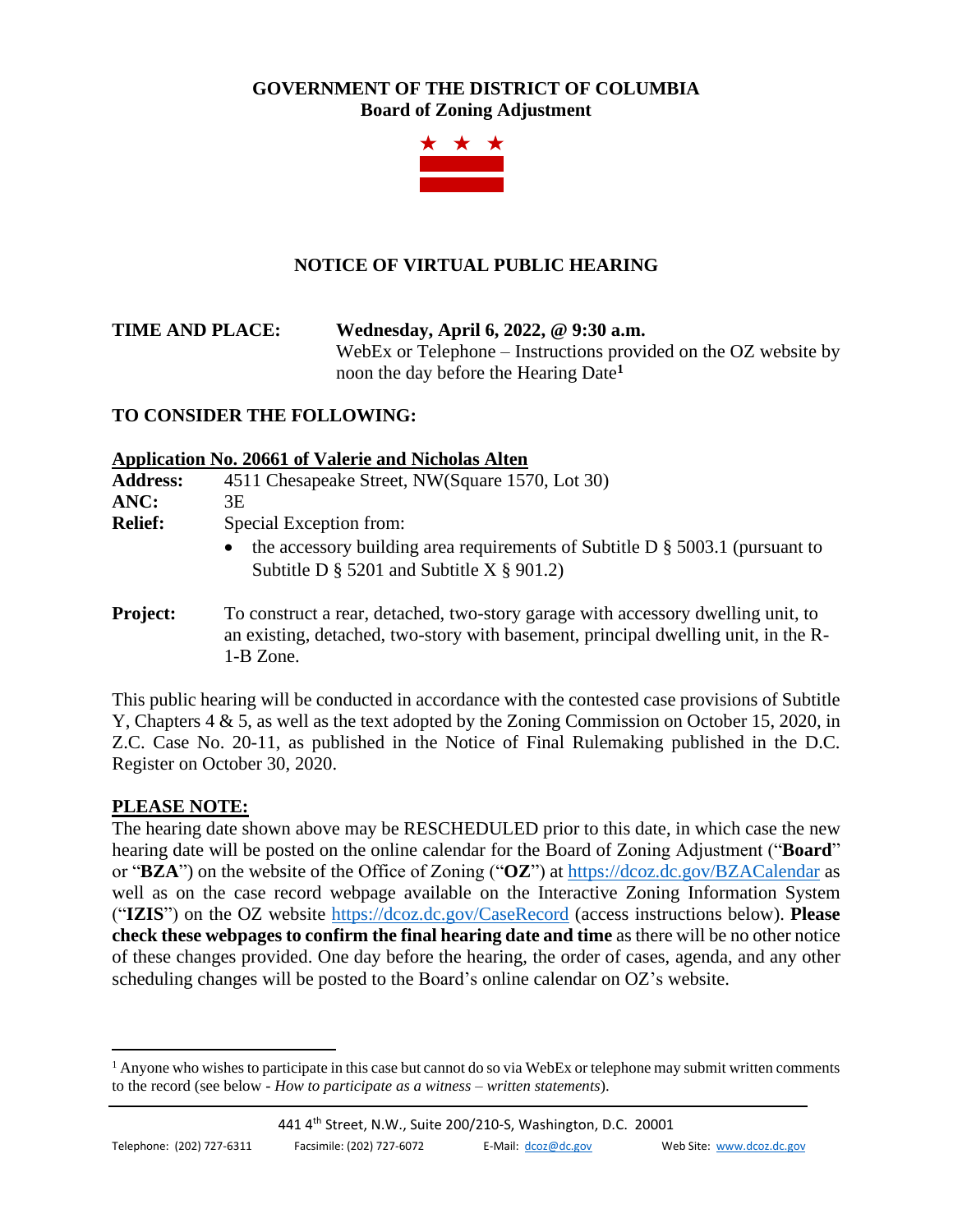### **GOVERNMENT OF THE DISTRICT OF COLUMBIA Board of Zoning Adjustment**



# **NOTICE OF VIRTUAL PUBLIC HEARING**

**TIME AND PLACE: Wednesday, April 6, 2022, @ 9:30 a.m.** WebEx or Telephone – Instructions provided on the OZ website by noon the day before the Hearing Date**<sup>1</sup>**

### **TO CONSIDER THE FOLLOWING:**

#### **Application No. 20661 of Valerie and Nicholas Alten**

| <b>Address:</b> | 4511 Chesapeake Street, NW(Square 1570, Lot 30)                                                                                                                                     |
|-----------------|-------------------------------------------------------------------------------------------------------------------------------------------------------------------------------------|
| ANC:            | 3Е                                                                                                                                                                                  |
| <b>Relief:</b>  | Special Exception from:                                                                                                                                                             |
|                 | the accessory building area requirements of Subtitle D $\S$ 5003.1 (pursuant to<br>$\bullet$<br>Subtitle D $\S$ 5201 and Subtitle X $\S$ 901.2)                                     |
| <b>Project:</b> | To construct a rear, detached, two-story garage with accessory dwelling unit, to<br>an existing, detached, two-story with basement, principal dwelling unit, in the R-<br>1-B Zone. |

This public hearing will be conducted in accordance with the contested case provisions of Subtitle Y, Chapters 4 & 5, as well as the text adopted by the Zoning Commission on October 15, 2020, in Z.C. Case No. 20-11, as published in the Notice of Final Rulemaking published in the D.C. Register on October 30, 2020.

#### **PLEASE NOTE:**

The hearing date shown above may be RESCHEDULED prior to this date, in which case the new hearing date will be posted on the online calendar for the Board of Zoning Adjustment ("**Board**" or "**BZA**") on the website of the Office of Zoning ("**OZ**") at<https://dcoz.dc.gov/BZACalendar> as well as on the case record webpage available on the Interactive Zoning Information System ("**IZIS**") on the OZ website<https://dcoz.dc.gov/CaseRecord> (access instructions below). **Please check these webpages to confirm the final hearing date and time** as there will be no other notice of these changes provided. One day before the hearing, the order of cases, agenda, and any other scheduling changes will be posted to the Board's online calendar on OZ's website.

 $<sup>1</sup>$  Anyone who wishes to participate in this case but cannot do so via WebEx or telephone may submit written comments</sup> to the record (see below - *How to participate as a witness – written statements*).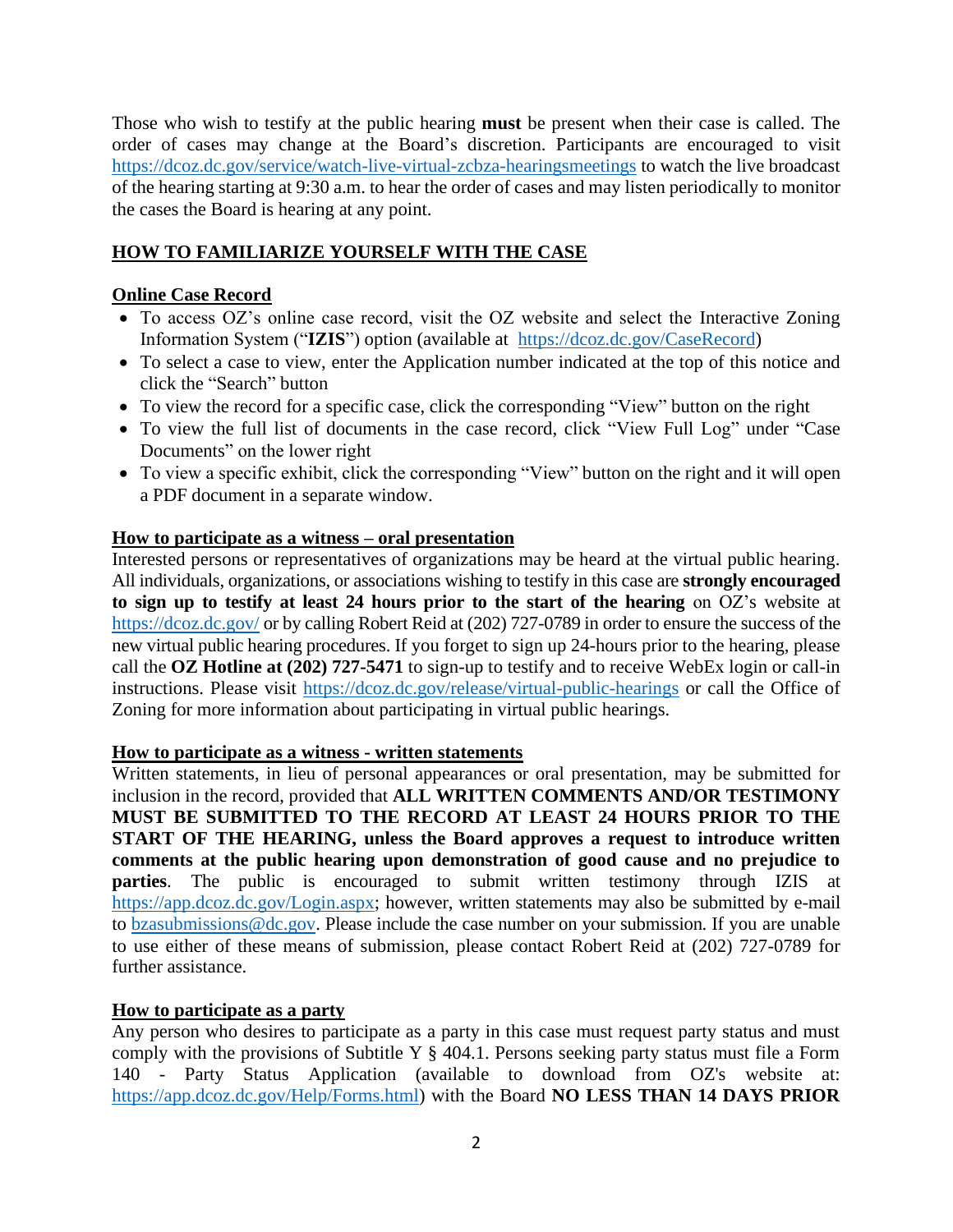Those who wish to testify at the public hearing **must** be present when their case is called. The order of cases may change at the Board's discretion. Participants are encouraged to visit <https://dcoz.dc.gov/service/watch-live-virtual-zcbza-hearingsmeetings> to watch the live broadcast of the hearing starting at 9:30 a.m. to hear the order of cases and may listen periodically to monitor the cases the Board is hearing at any point.

## **HOW TO FAMILIARIZE YOURSELF WITH THE CASE**

### **Online Case Record**

- To access OZ's online case record, visit the OZ website and select the Interactive Zoning Information System ("**IZIS**") option (available at [https://dcoz.dc.gov/CaseRecord\)](https://dcoz.dc.gov/CaseRecord)
- To select a case to view, enter the Application number indicated at the top of this notice and click the "Search" button
- To view the record for a specific case, click the corresponding "View" button on the right
- To view the full list of documents in the case record, click "View Full Log" under "Case Documents" on the lower right
- To view a specific exhibit, click the corresponding "View" button on the right and it will open a PDF document in a separate window.

### **How to participate as a witness – oral presentation**

Interested persons or representatives of organizations may be heard at the virtual public hearing. All individuals, organizations, or associations wishing to testify in this case are **strongly encouraged to sign up to testify at least 24 hours prior to the start of the hearing** on OZ's website at <https://dcoz.dc.gov/> or by calling Robert Reid at (202) 727-0789 in order to ensure the success of the new virtual public hearing procedures. If you forget to sign up 24-hours prior to the hearing, please call the **OZ Hotline at (202) 727-5471** to sign-up to testify and to receive WebEx login or call-in instructions. Please visit <https://dcoz.dc.gov/release/virtual-public-hearings> or call the Office of Zoning for more information about participating in virtual public hearings.

#### **How to participate as a witness - written statements**

Written statements, in lieu of personal appearances or oral presentation, may be submitted for inclusion in the record, provided that **ALL WRITTEN COMMENTS AND/OR TESTIMONY MUST BE SUBMITTED TO THE RECORD AT LEAST 24 HOURS PRIOR TO THE START OF THE HEARING, unless the Board approves a request to introduce written comments at the public hearing upon demonstration of good cause and no prejudice to parties**. The public is encouraged to submit written testimony through IZIS at [https://app.dcoz.dc.gov/Login.aspx;](https://app.dcoz.dc.gov/Login.aspx) however, written statements may also be submitted by e-mail to [bzasubmissions@dc.gov.](mailto:bzasubmissions@dc.gov) Please include the case number on your submission. If you are unable to use either of these means of submission, please contact Robert Reid at (202) 727-0789 for further assistance.

### **How to participate as a party**

Any person who desires to participate as a party in this case must request party status and must comply with the provisions of Subtitle Y  $\S$  404.1. Persons seeking party status must file a Form 140 - Party Status Application (available to download from OZ's website at: [https://app.dcoz.dc.gov/Help/Forms.html\)](https://app.dcoz.dc.gov/Help/Forms.html) with the Board **NO LESS THAN 14 DAYS PRIOR**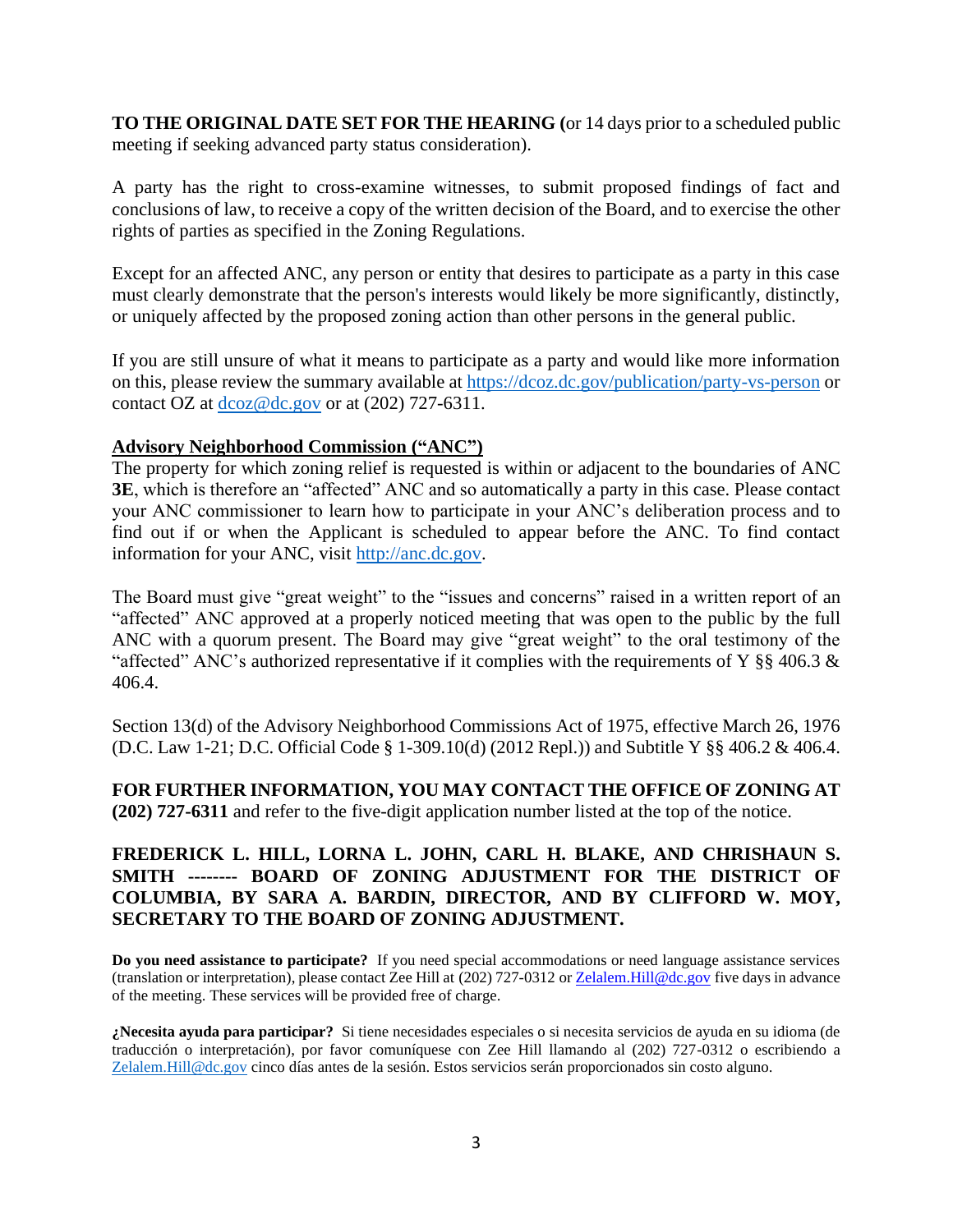**TO THE ORIGINAL DATE SET FOR THE HEARING (**or 14 days prior to a scheduled public meeting if seeking advanced party status consideration).

A party has the right to cross-examine witnesses, to submit proposed findings of fact and conclusions of law, to receive a copy of the written decision of the Board, and to exercise the other rights of parties as specified in the Zoning Regulations.

Except for an affected ANC, any person or entity that desires to participate as a party in this case must clearly demonstrate that the person's interests would likely be more significantly, distinctly, or uniquely affected by the proposed zoning action than other persons in the general public.

If you are still unsure of what it means to participate as a party and would like more information on this, please review the summary available at<https://dcoz.dc.gov/publication/party-vs-person> or contact OZ at [dcoz@dc.gov](mailto:dcoz@dc.gov) or at (202) 727-6311.

#### **Advisory Neighborhood Commission ("ANC")**

The property for which zoning relief is requested is within or adjacent to the boundaries of ANC **3E**, which is therefore an "affected" ANC and so automatically a party in this case. Please contact your ANC commissioner to learn how to participate in your ANC's deliberation process and to find out if or when the Applicant is scheduled to appear before the ANC. To find contact information for your ANC, visit [http://anc.dc.gov.](http://anc.dc.gov/)

The Board must give "great weight" to the "issues and concerns" raised in a written report of an "affected" ANC approved at a properly noticed meeting that was open to the public by the full ANC with a quorum present. The Board may give "great weight" to the oral testimony of the "affected" ANC's authorized representative if it complies with the requirements of Y §§ 406.3  $\&$ 406.4.

Section 13(d) of the Advisory Neighborhood Commissions Act of 1975, effective March 26, 1976 (D.C. Law 1-21; D.C. Official Code § 1-309.10(d) (2012 Repl.)) and Subtitle Y §§ 406.2 & 406.4.

**FOR FURTHER INFORMATION, YOU MAY CONTACT THE OFFICE OF ZONING AT (202) 727-6311** and refer to the five-digit application number listed at the top of the notice.

#### **FREDERICK L. HILL, LORNA L. JOHN, CARL H. BLAKE, AND CHRISHAUN S. SMITH -------- BOARD OF ZONING ADJUSTMENT FOR THE DISTRICT OF COLUMBIA, BY SARA A. BARDIN, DIRECTOR, AND BY CLIFFORD W. MOY, SECRETARY TO THE BOARD OF ZONING ADJUSTMENT.**

**Do you need assistance to participate?** If you need special accommodations or need language assistance services (translation or interpretation), please contact Zee Hill at (202) 727-0312 o[r Zelalem.Hill@dc.gov](about:blank) five days in advance of the meeting. These services will be provided free of charge.

**¿Necesita ayuda para participar?** Si tiene necesidades especiales o si necesita servicios de ayuda en su idioma (de traducción o interpretación), por favor comuníquese con Zee Hill llamando al (202) 727-0312 o escribiendo a [Zelalem.Hill@dc.gov](about:blank) cinco días antes de la sesión. Estos servicios serán proporcionados sin costo alguno.